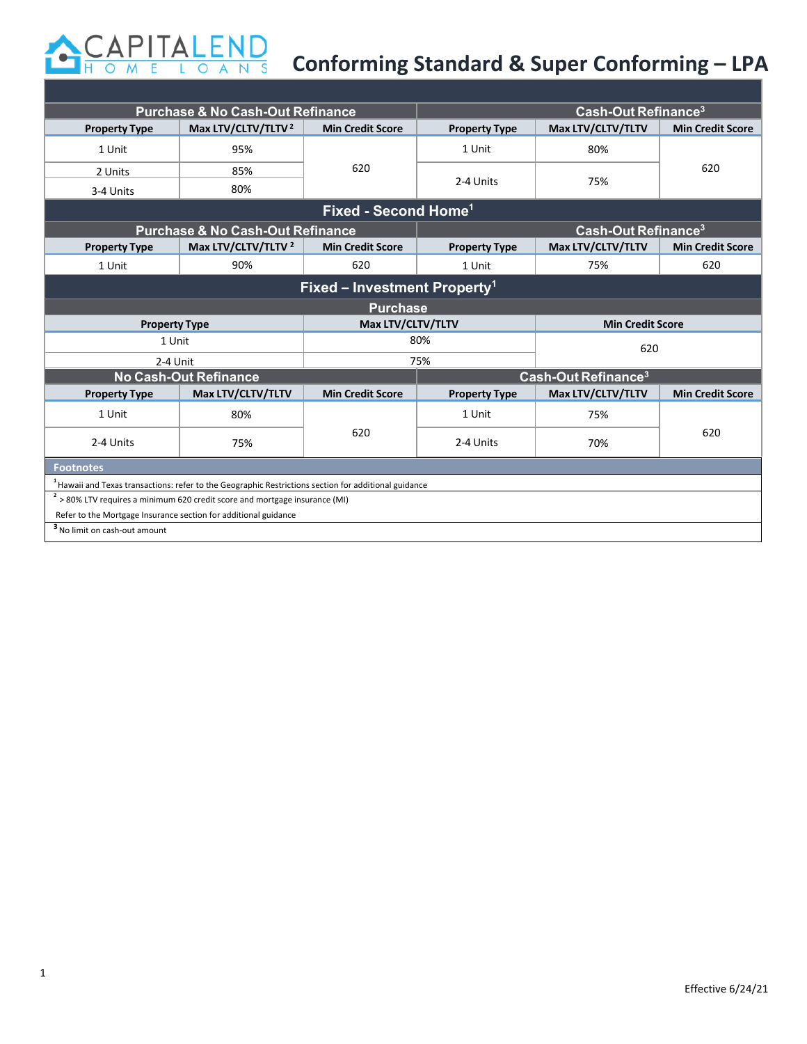

| <b>Purchase &amp; No Cash-Out Refinance</b>                                                             |                                             |                                  | Cash-Out Refinance <sup>3</sup> |                                 |                         |  |  |  |
|---------------------------------------------------------------------------------------------------------|---------------------------------------------|----------------------------------|---------------------------------|---------------------------------|-------------------------|--|--|--|
| <b>Property Type</b>                                                                                    | Max LTV/CLTV/TLTV <sup>2</sup>              | <b>Min Credit Score</b>          | <b>Property Type</b>            | Max LTV/CLTV/TLTV               | <b>Min Credit Score</b> |  |  |  |
| 1 Unit                                                                                                  | 95%                                         |                                  | 1 Unit                          | 80%                             |                         |  |  |  |
| 2 Units                                                                                                 | 85%                                         | 620                              | 2-4 Units                       | 75%                             | 620                     |  |  |  |
| 3-4 Units                                                                                               | 80%                                         |                                  |                                 |                                 |                         |  |  |  |
|                                                                                                         |                                             | Fixed - Second Home <sup>1</sup> |                                 |                                 |                         |  |  |  |
|                                                                                                         | <b>Purchase &amp; No Cash-Out Refinance</b> |                                  |                                 | Cash-Out Refinance <sup>3</sup> |                         |  |  |  |
| <b>Property Type</b>                                                                                    | Max LTV/CLTV/TLTV <sup>2</sup>              | <b>Min Credit Score</b>          | <b>Property Type</b>            | Max LTV/CLTV/TLTV               | <b>Min Credit Score</b> |  |  |  |
| 1 Unit                                                                                                  | 90%                                         | 620                              | 1 Unit                          | 75%                             | 620                     |  |  |  |
|                                                                                                         | Fixed - Investment Property <sup>1</sup>    |                                  |                                 |                                 |                         |  |  |  |
|                                                                                                         | <b>Purchase</b>                             |                                  |                                 |                                 |                         |  |  |  |
| Max LTV/CLTV/TLTV<br><b>Min Credit Score</b><br><b>Property Type</b>                                    |                                             |                                  |                                 |                                 |                         |  |  |  |
| 1 Unit                                                                                                  |                                             |                                  | 80%                             | 620                             |                         |  |  |  |
| 2-4 Unit                                                                                                |                                             |                                  | 75%                             |                                 |                         |  |  |  |
|                                                                                                         | <b>No Cash-Out Refinance</b>                |                                  |                                 | Cash-Out Refinance <sup>3</sup> |                         |  |  |  |
| <b>Property Type</b>                                                                                    | Max LTV/CLTV/TLTV                           | <b>Min Credit Score</b>          | <b>Property Type</b>            | Max LTV/CLTV/TLTV               | <b>Min Credit Score</b> |  |  |  |
| 1 Unit                                                                                                  | 80%                                         |                                  | 1 Unit                          | 75%                             |                         |  |  |  |
| 2-4 Units                                                                                               | 75%                                         | 620                              | 2-4 Units                       | 70%                             | 620                     |  |  |  |
| <b>Footnotes</b>                                                                                        |                                             |                                  |                                 |                                 |                         |  |  |  |
| $1$ Hawaii and Texas transactions: refer to the Geographic Restrictions section for additional guidance |                                             |                                  |                                 |                                 |                         |  |  |  |
| $2$ > 80% LTV requires a minimum 620 credit score and mortgage insurance (MI)                           |                                             |                                  |                                 |                                 |                         |  |  |  |
| Refer to the Mortgage Insurance section for additional guidance                                         |                                             |                                  |                                 |                                 |                         |  |  |  |
| <sup>3</sup> No limit on cash-out amount                                                                |                                             |                                  |                                 |                                 |                         |  |  |  |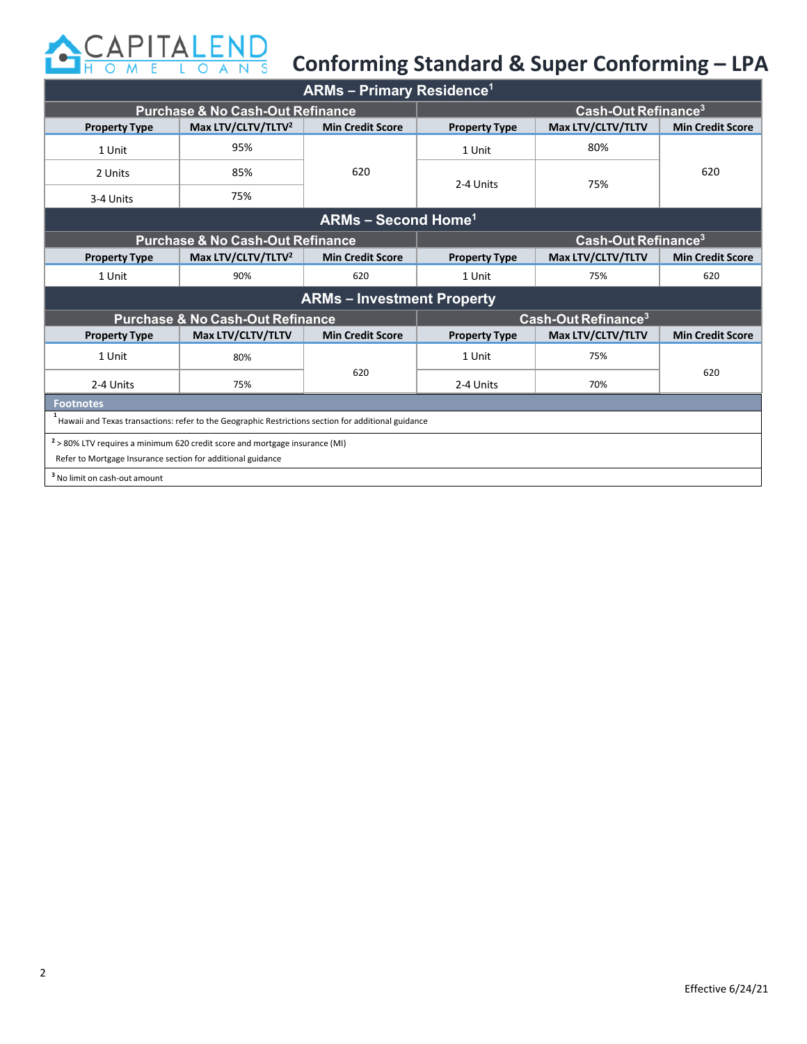

| <b>ARMs - Primary Residence<sup>1</sup></b>                                                         |                                              |                         |                                           |                                 |                         |  |  |
|-----------------------------------------------------------------------------------------------------|----------------------------------------------|-------------------------|-------------------------------------------|---------------------------------|-------------------------|--|--|
| <b>Purchase &amp; No Cash-Out Refinance</b>                                                         |                                              |                         | Cash-Out Refinance <sup>3</sup>           |                                 |                         |  |  |
| <b>Property Type</b>                                                                                | Max LTV/CLTV/TLTV <sup>2</sup>               | <b>Min Credit Score</b> | Max LTV/CLTV/TLTV<br><b>Property Type</b> |                                 | <b>Min Credit Score</b> |  |  |
| 1 Unit                                                                                              | 95%                                          |                         | 1 Unit                                    | 80%                             |                         |  |  |
| 2 Units                                                                                             | 85%                                          | 620                     | 2-4 Units                                 | 75%                             | 620                     |  |  |
| 3-4 Units                                                                                           | 75%                                          |                         |                                           |                                 |                         |  |  |
| <b>ARMs - Second Home<sup>1</sup></b>                                                               |                                              |                         |                                           |                                 |                         |  |  |
| <b>Purchase &amp; No Cash-Out Refinance</b>                                                         |                                              |                         | Cash-Out Refinance <sup>3</sup>           |                                 |                         |  |  |
| <b>Property Type</b>                                                                                | Max LTV/CLTV/TLTV <sup>2</sup>               | <b>Min Credit Score</b> | <b>Property Type</b>                      | Max LTV/CLTV/TLTV               | <b>Min Credit Score</b> |  |  |
| 1 Unit                                                                                              | 90%                                          | 620                     | 1 Unit                                    | 75%                             | 620                     |  |  |
| <b>ARMs - Investment Property</b>                                                                   |                                              |                         |                                           |                                 |                         |  |  |
|                                                                                                     | <b>Purchase &amp; No Cash-Out Refinance</b>  |                         |                                           | Cash-Out Refinance <sup>3</sup> |                         |  |  |
| <b>Property Type</b>                                                                                | Max LTV/CLTV/TLTV<br><b>Min Credit Score</b> |                         | <b>Property Type</b>                      | Max LTV/CLTV/TLTV               | <b>Min Credit Score</b> |  |  |
| 1 Unit                                                                                              | 80%                                          |                         | 1 Unit                                    | 75%                             |                         |  |  |
| 2-4 Units                                                                                           | 75%                                          | 620                     | 2-4 Units                                 | 70%                             | 620                     |  |  |
| <b>Footnotes</b>                                                                                    |                                              |                         |                                           |                                 |                         |  |  |
| Hawaii and Texas transactions: refer to the Geographic Restrictions section for additional guidance |                                              |                         |                                           |                                 |                         |  |  |
| $2$ > 80% LTV requires a minimum 620 credit score and mortgage insurance (MI)                       |                                              |                         |                                           |                                 |                         |  |  |
| Refer to Mortgage Insurance section for additional guidance                                         |                                              |                         |                                           |                                 |                         |  |  |
| <sup>3</sup> No limit on cash-out amount                                                            |                                              |                         |                                           |                                 |                         |  |  |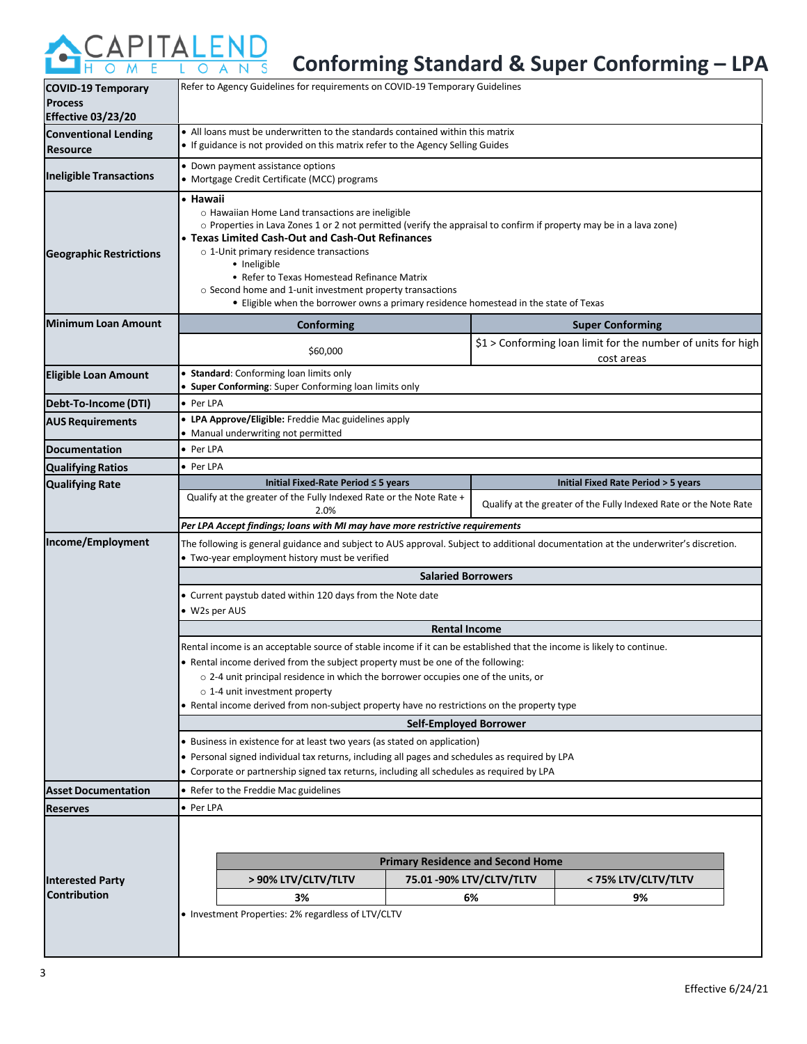# CAPITALEND

| <b>COVID-19 Temporary</b><br><b>Process</b>    | Refer to Agency Guidelines for requirements on COVID-19 Temporary Guidelines                                                                                                                                                                                                                                                                                                                                                                                                                                  |  |                          |                                                                             |  |  |  |
|------------------------------------------------|---------------------------------------------------------------------------------------------------------------------------------------------------------------------------------------------------------------------------------------------------------------------------------------------------------------------------------------------------------------------------------------------------------------------------------------------------------------------------------------------------------------|--|--------------------------|-----------------------------------------------------------------------------|--|--|--|
| Effective 03/23/20                             |                                                                                                                                                                                                                                                                                                                                                                                                                                                                                                               |  |                          |                                                                             |  |  |  |
| <b>Conventional Lending</b><br><b>Resource</b> | • All loans must be underwritten to the standards contained within this matrix<br>• If guidance is not provided on this matrix refer to the Agency Selling Guides                                                                                                                                                                                                                                                                                                                                             |  |                          |                                                                             |  |  |  |
| <b>Ineligible Transactions</b>                 | • Down payment assistance options<br>• Mortgage Credit Certificate (MCC) programs                                                                                                                                                                                                                                                                                                                                                                                                                             |  |                          |                                                                             |  |  |  |
| <b>Geographic Restrictions</b>                 | • Hawaii<br>o Hawaiian Home Land transactions are ineligible<br>o Properties in Lava Zones 1 or 2 not permitted (verify the appraisal to confirm if property may be in a lava zone)<br>• Texas Limited Cash-Out and Cash-Out Refinances<br>o 1-Unit primary residence transactions<br>• Ineligible<br>• Refer to Texas Homestead Refinance Matrix<br>$\circ$ Second home and 1-unit investment property transactions<br>• Eligible when the borrower owns a primary residence homestead in the state of Texas |  |                          |                                                                             |  |  |  |
| Minimum Loan Amount                            | Conforming                                                                                                                                                                                                                                                                                                                                                                                                                                                                                                    |  |                          | <b>Super Conforming</b>                                                     |  |  |  |
|                                                | \$60,000                                                                                                                                                                                                                                                                                                                                                                                                                                                                                                      |  |                          | $$1 >$ Conforming loan limit for the number of units for high<br>cost areas |  |  |  |
| <b>Eligible Loan Amount</b>                    | Standard: Conforming loan limits only<br>Super Conforming: Super Conforming loan limits only                                                                                                                                                                                                                                                                                                                                                                                                                  |  |                          |                                                                             |  |  |  |
| Debt-To-Income (DTI)                           | • Per LPA                                                                                                                                                                                                                                                                                                                                                                                                                                                                                                     |  |                          |                                                                             |  |  |  |
| <b>AUS Requirements</b>                        | • LPA Approve/Eligible: Freddie Mac guidelines apply<br>• Manual underwriting not permitted                                                                                                                                                                                                                                                                                                                                                                                                                   |  |                          |                                                                             |  |  |  |
| <b>Documentation</b>                           | • Per LPA                                                                                                                                                                                                                                                                                                                                                                                                                                                                                                     |  |                          |                                                                             |  |  |  |
| <b>Qualifying Ratios</b>                       | • Per LPA                                                                                                                                                                                                                                                                                                                                                                                                                                                                                                     |  |                          |                                                                             |  |  |  |
| <b>Qualifying Rate</b>                         | Initial Fixed-Rate Period ≤ 5 years                                                                                                                                                                                                                                                                                                                                                                                                                                                                           |  |                          | Initial Fixed Rate Period > 5 years                                         |  |  |  |
|                                                | Qualify at the greater of the Fully Indexed Rate or the Note Rate +<br>2.0%                                                                                                                                                                                                                                                                                                                                                                                                                                   |  |                          | Qualify at the greater of the Fully Indexed Rate or the Note Rate           |  |  |  |
|                                                | Per LPA Accept findings; loans with MI may have more restrictive requirements                                                                                                                                                                                                                                                                                                                                                                                                                                 |  |                          |                                                                             |  |  |  |
| Income/Employment                              | The following is general guidance and subject to AUS approval. Subject to additional documentation at the underwriter's discretion.<br>• Two-year employment history must be verified                                                                                                                                                                                                                                                                                                                         |  |                          |                                                                             |  |  |  |
|                                                | <b>Salaried Borrowers</b>                                                                                                                                                                                                                                                                                                                                                                                                                                                                                     |  |                          |                                                                             |  |  |  |
|                                                | • Current paystub dated within 120 days from the Note date<br>• W2s per AUS                                                                                                                                                                                                                                                                                                                                                                                                                                   |  |                          |                                                                             |  |  |  |
|                                                | <b>Rental Income</b>                                                                                                                                                                                                                                                                                                                                                                                                                                                                                          |  |                          |                                                                             |  |  |  |
|                                                | Rental income is an acceptable source of stable income if it can be established that the income is likely to continue.                                                                                                                                                                                                                                                                                                                                                                                        |  |                          |                                                                             |  |  |  |
|                                                | • Rental income derived from the subject property must be one of the following:                                                                                                                                                                                                                                                                                                                                                                                                                               |  |                          |                                                                             |  |  |  |
|                                                | o 2-4 unit principal residence in which the borrower occupies one of the units, or                                                                                                                                                                                                                                                                                                                                                                                                                            |  |                          |                                                                             |  |  |  |
|                                                | $\circ$ 1-4 unit investment property<br>• Rental income derived from non-subject property have no restrictions on the property type                                                                                                                                                                                                                                                                                                                                                                           |  |                          |                                                                             |  |  |  |
|                                                | <b>Self-Employed Borrower</b>                                                                                                                                                                                                                                                                                                                                                                                                                                                                                 |  |                          |                                                                             |  |  |  |
|                                                | • Business in existence for at least two years (as stated on application)                                                                                                                                                                                                                                                                                                                                                                                                                                     |  |                          |                                                                             |  |  |  |
|                                                | • Personal signed individual tax returns, including all pages and schedules as required by LPA                                                                                                                                                                                                                                                                                                                                                                                                                |  |                          |                                                                             |  |  |  |
|                                                | • Corporate or partnership signed tax returns, including all schedules as required by LPA                                                                                                                                                                                                                                                                                                                                                                                                                     |  |                          |                                                                             |  |  |  |
| <b>Asset Documentation</b>                     | • Refer to the Freddie Mac guidelines                                                                                                                                                                                                                                                                                                                                                                                                                                                                         |  |                          |                                                                             |  |  |  |
| <b>Reserves</b>                                | • Per LPA                                                                                                                                                                                                                                                                                                                                                                                                                                                                                                     |  |                          |                                                                             |  |  |  |
|                                                |                                                                                                                                                                                                                                                                                                                                                                                                                                                                                                               |  |                          |                                                                             |  |  |  |
|                                                |                                                                                                                                                                                                                                                                                                                                                                                                                                                                                                               |  |                          |                                                                             |  |  |  |
|                                                | <b>Primary Residence and Second Home</b>                                                                                                                                                                                                                                                                                                                                                                                                                                                                      |  |                          |                                                                             |  |  |  |
| <b>Interested Party</b>                        | > 90% LTV/CLTV/TLTV                                                                                                                                                                                                                                                                                                                                                                                                                                                                                           |  | 75.01 -90% LTV/CLTV/TLTV | < 75% LTV/CLTV/TLTV                                                         |  |  |  |
| Contribution                                   | 3%                                                                                                                                                                                                                                                                                                                                                                                                                                                                                                            |  | 6%                       | 9%                                                                          |  |  |  |
|                                                | • Investment Properties: 2% regardless of LTV/CLTV                                                                                                                                                                                                                                                                                                                                                                                                                                                            |  |                          |                                                                             |  |  |  |
|                                                |                                                                                                                                                                                                                                                                                                                                                                                                                                                                                                               |  |                          |                                                                             |  |  |  |
|                                                |                                                                                                                                                                                                                                                                                                                                                                                                                                                                                                               |  |                          |                                                                             |  |  |  |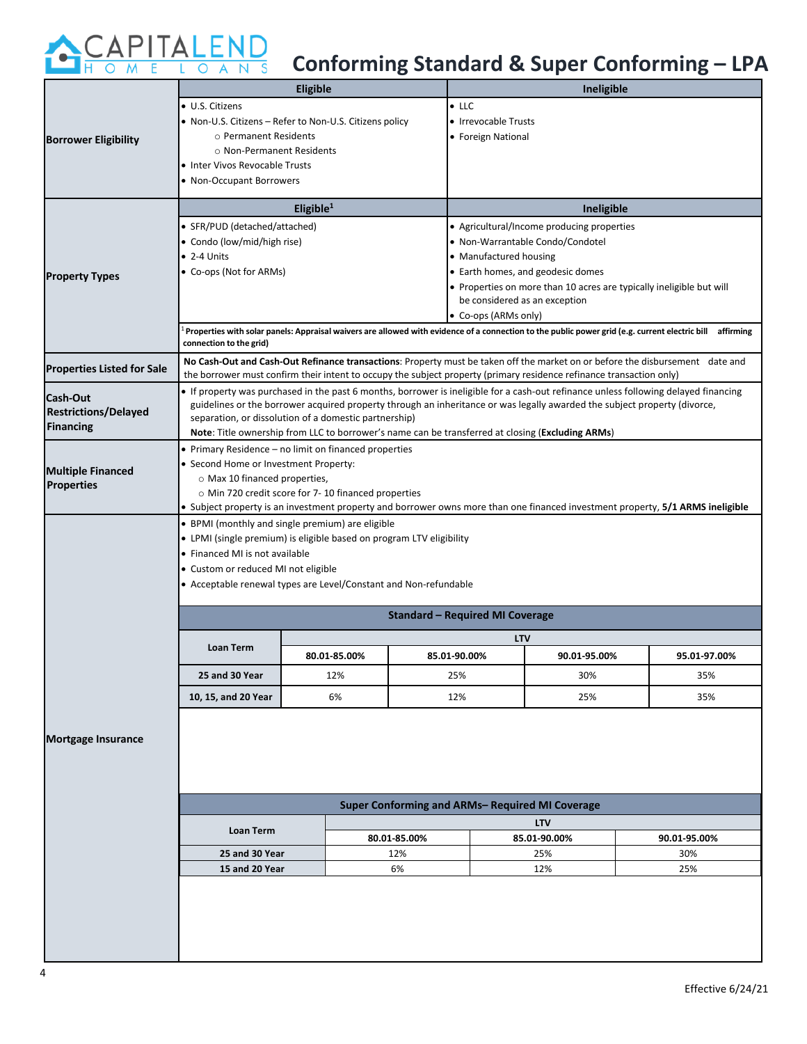

|                                   |                                                                                                                                | <b>Eligible</b>                                                                                                                                                                                                                                       |                                                                      | Ineligible                       |              |  |  |
|-----------------------------------|--------------------------------------------------------------------------------------------------------------------------------|-------------------------------------------------------------------------------------------------------------------------------------------------------------------------------------------------------------------------------------------------------|----------------------------------------------------------------------|----------------------------------|--------------|--|--|
|                                   | • U.S. Citizens                                                                                                                | $\bullet$ LLC                                                                                                                                                                                                                                         |                                                                      |                                  |              |  |  |
|                                   | • Non-U.S. Citizens - Refer to Non-U.S. Citizens policy                                                                        |                                                                                                                                                                                                                                                       | • Irrevocable Trusts                                                 |                                  |              |  |  |
| <b>Borrower Eligibility</b>       | ○ Permanent Residents                                                                                                          |                                                                                                                                                                                                                                                       | • Foreign National                                                   |                                  |              |  |  |
|                                   | o Non-Permanent Residents                                                                                                      |                                                                                                                                                                                                                                                       |                                                                      |                                  |              |  |  |
|                                   | • Inter Vivos Revocable Trusts                                                                                                 |                                                                                                                                                                                                                                                       |                                                                      |                                  |              |  |  |
|                                   | • Non-Occupant Borrowers                                                                                                       |                                                                                                                                                                                                                                                       |                                                                      |                                  |              |  |  |
|                                   |                                                                                                                                | Eligible <sup>1</sup>                                                                                                                                                                                                                                 |                                                                      | Ineligible                       |              |  |  |
|                                   | • SFR/PUD (detached/attached)                                                                                                  |                                                                                                                                                                                                                                                       | • Agricultural/Income producing properties                           |                                  |              |  |  |
|                                   | • Condo (low/mid/high rise)                                                                                                    |                                                                                                                                                                                                                                                       |                                                                      | • Non-Warrantable Condo/Condotel |              |  |  |
|                                   | $\bullet$ 2-4 Units                                                                                                            |                                                                                                                                                                                                                                                       | • Manufactured housing                                               |                                  |              |  |  |
| <b>Property Types</b>             | • Co-ops (Not for ARMs)                                                                                                        |                                                                                                                                                                                                                                                       | • Earth homes, and geodesic domes                                    |                                  |              |  |  |
|                                   |                                                                                                                                |                                                                                                                                                                                                                                                       | • Properties on more than 10 acres are typically ineligible but will |                                  |              |  |  |
|                                   |                                                                                                                                |                                                                                                                                                                                                                                                       |                                                                      | be considered as an exception    |              |  |  |
|                                   |                                                                                                                                |                                                                                                                                                                                                                                                       | • Co-ops (ARMs only)                                                 |                                  |              |  |  |
|                                   | connection to the grid)                                                                                                        | Properties with solar panels: Appraisal waivers are allowed with evidence of a connection to the public power grid (e.g. current electric bill affirming                                                                                              |                                                                      |                                  |              |  |  |
| <b>Properties Listed for Sale</b> |                                                                                                                                | No Cash-Out and Cash-Out Refinance transactions: Property must be taken off the market on or before the disbursement date and<br>the borrower must confirm their intent to occupy the subject property (primary residence refinance transaction only) |                                                                      |                                  |              |  |  |
|                                   |                                                                                                                                | • If property was purchased in the past 6 months, borrower is ineligible for a cash-out refinance unless following delayed financing                                                                                                                  |                                                                      |                                  |              |  |  |
| Cash-Out                          |                                                                                                                                | guidelines or the borrower acquired property through an inheritance or was legally awarded the subject property (divorce,                                                                                                                             |                                                                      |                                  |              |  |  |
| <b>Restrictions/Delayed</b>       | separation, or dissolution of a domestic partnership)                                                                          |                                                                                                                                                                                                                                                       |                                                                      |                                  |              |  |  |
| <b>Financing</b>                  |                                                                                                                                | Note: Title ownership from LLC to borrower's name can be transferred at closing (Excluding ARMs)                                                                                                                                                      |                                                                      |                                  |              |  |  |
|                                   | • Primary Residence – no limit on financed properties                                                                          |                                                                                                                                                                                                                                                       |                                                                      |                                  |              |  |  |
| <b>Multiple Financed</b>          | • Second Home or Investment Property:                                                                                          |                                                                                                                                                                                                                                                       |                                                                      |                                  |              |  |  |
| <b>Properties</b>                 | o Max 10 financed properties,                                                                                                  |                                                                                                                                                                                                                                                       |                                                                      |                                  |              |  |  |
|                                   | o Min 720 credit score for 7-10 financed properties                                                                            |                                                                                                                                                                                                                                                       |                                                                      |                                  |              |  |  |
|                                   | • Subject property is an investment property and borrower owns more than one financed investment property, 5/1 ARMS ineligible |                                                                                                                                                                                                                                                       |                                                                      |                                  |              |  |  |
|                                   | • BPMI (monthly and single premium) are eligible                                                                               |                                                                                                                                                                                                                                                       |                                                                      |                                  |              |  |  |
|                                   | • LPMI (single premium) is eligible based on program LTV eligibility                                                           |                                                                                                                                                                                                                                                       |                                                                      |                                  |              |  |  |
|                                   | • Financed MI is not available<br>• Custom or reduced MI not eligible                                                          |                                                                                                                                                                                                                                                       |                                                                      |                                  |              |  |  |
|                                   | • Acceptable renewal types are Level/Constant and Non-refundable                                                               |                                                                                                                                                                                                                                                       |                                                                      |                                  |              |  |  |
|                                   |                                                                                                                                |                                                                                                                                                                                                                                                       |                                                                      |                                  |              |  |  |
|                                   |                                                                                                                                |                                                                                                                                                                                                                                                       | <b>Standard - Required MI Coverage</b>                               |                                  |              |  |  |
|                                   | <b>Loan Term</b>                                                                                                               |                                                                                                                                                                                                                                                       | <b>LTV</b>                                                           |                                  |              |  |  |
|                                   |                                                                                                                                | 80.01-85.00%                                                                                                                                                                                                                                          | 85.01-90.00%                                                         | 90.01-95.00%                     | 95.01-97.00% |  |  |
|                                   | 25 and 30 Year                                                                                                                 | 12%                                                                                                                                                                                                                                                   | 25%                                                                  | 30%                              | 35%          |  |  |
|                                   | 10, 15, and 20 Year                                                                                                            | 6%                                                                                                                                                                                                                                                    | 12%                                                                  | 25%                              | 35%          |  |  |
|                                   |                                                                                                                                |                                                                                                                                                                                                                                                       |                                                                      |                                  |              |  |  |
| <b>Mortgage Insurance</b>         |                                                                                                                                |                                                                                                                                                                                                                                                       |                                                                      |                                  |              |  |  |
|                                   |                                                                                                                                |                                                                                                                                                                                                                                                       |                                                                      |                                  |              |  |  |
|                                   |                                                                                                                                |                                                                                                                                                                                                                                                       |                                                                      |                                  |              |  |  |
|                                   |                                                                                                                                |                                                                                                                                                                                                                                                       |                                                                      |                                  |              |  |  |
|                                   | Super Conforming and ARMs-Required MI Coverage                                                                                 |                                                                                                                                                                                                                                                       |                                                                      |                                  |              |  |  |
|                                   | <b>LTV</b>                                                                                                                     |                                                                                                                                                                                                                                                       |                                                                      |                                  |              |  |  |
|                                   | <b>Loan Term</b>                                                                                                               | 80.01-85.00%                                                                                                                                                                                                                                          |                                                                      | 85.01-90.00%                     | 90.01-95.00% |  |  |
|                                   | 25 and 30 Year                                                                                                                 | 12%                                                                                                                                                                                                                                                   |                                                                      | 25%                              | 30%          |  |  |
|                                   | 15 and 20 Year                                                                                                                 | 6%                                                                                                                                                                                                                                                    | 12%<br>25%                                                           |                                  |              |  |  |
|                                   |                                                                                                                                |                                                                                                                                                                                                                                                       |                                                                      |                                  |              |  |  |
|                                   |                                                                                                                                |                                                                                                                                                                                                                                                       |                                                                      |                                  |              |  |  |
|                                   |                                                                                                                                |                                                                                                                                                                                                                                                       |                                                                      |                                  |              |  |  |
|                                   |                                                                                                                                |                                                                                                                                                                                                                                                       |                                                                      |                                  |              |  |  |
|                                   |                                                                                                                                |                                                                                                                                                                                                                                                       |                                                                      |                                  |              |  |  |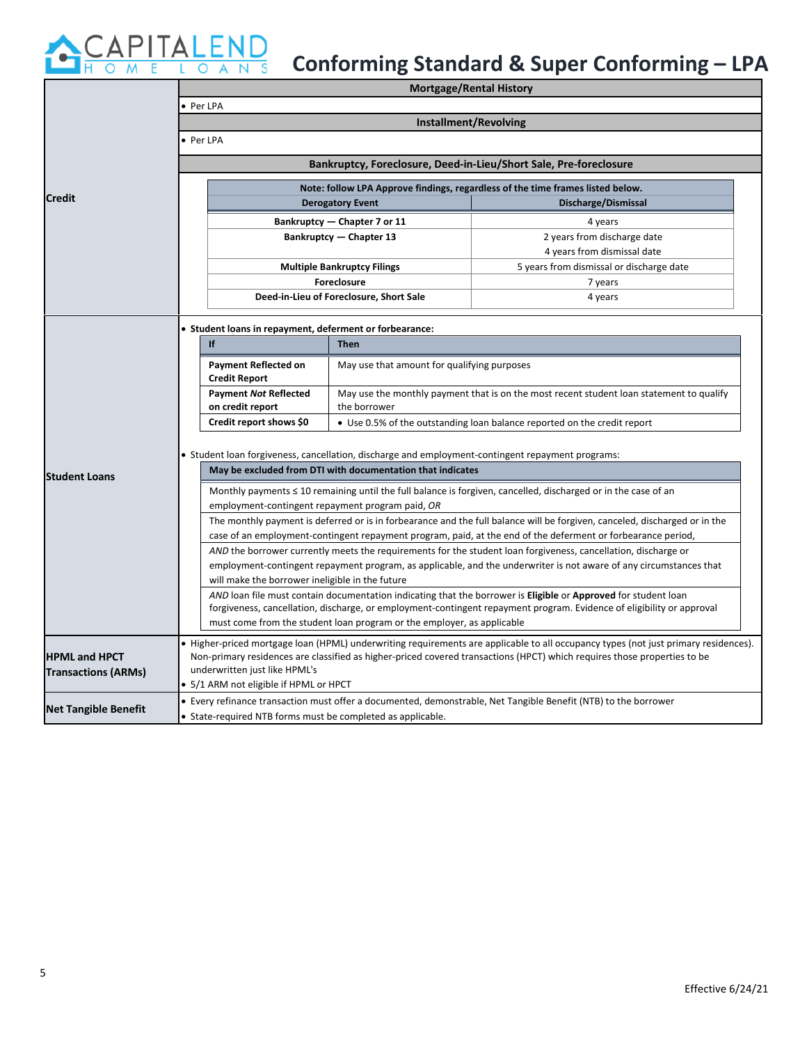

|                                                    |                                                                                                                                                                                | <b>Mortgage/Rental History</b>                                                                                                                                                                                                                                                                                                  |                                                                                                                                                                                                                                                                 |  |  |  |  |  |
|----------------------------------------------------|--------------------------------------------------------------------------------------------------------------------------------------------------------------------------------|---------------------------------------------------------------------------------------------------------------------------------------------------------------------------------------------------------------------------------------------------------------------------------------------------------------------------------|-----------------------------------------------------------------------------------------------------------------------------------------------------------------------------------------------------------------------------------------------------------------|--|--|--|--|--|
|                                                    | · Per LPA                                                                                                                                                                      |                                                                                                                                                                                                                                                                                                                                 |                                                                                                                                                                                                                                                                 |  |  |  |  |  |
|                                                    |                                                                                                                                                                                | Installment/Revolving                                                                                                                                                                                                                                                                                                           |                                                                                                                                                                                                                                                                 |  |  |  |  |  |
|                                                    | · Per LPA                                                                                                                                                                      |                                                                                                                                                                                                                                                                                                                                 |                                                                                                                                                                                                                                                                 |  |  |  |  |  |
| <b>Credit</b>                                      |                                                                                                                                                                                | Bankruptcy, Foreclosure, Deed-in-Lieu/Short Sale, Pre-foreclosure                                                                                                                                                                                                                                                               |                                                                                                                                                                                                                                                                 |  |  |  |  |  |
|                                                    |                                                                                                                                                                                |                                                                                                                                                                                                                                                                                                                                 | Note: follow LPA Approve findings, regardless of the time frames listed below.                                                                                                                                                                                  |  |  |  |  |  |
|                                                    |                                                                                                                                                                                | <b>Derogatory Event</b>                                                                                                                                                                                                                                                                                                         | Discharge/Dismissal                                                                                                                                                                                                                                             |  |  |  |  |  |
|                                                    |                                                                                                                                                                                | Bankruptcy - Chapter 7 or 11                                                                                                                                                                                                                                                                                                    | 4 years                                                                                                                                                                                                                                                         |  |  |  |  |  |
|                                                    |                                                                                                                                                                                | <b>Bankruptcy - Chapter 13</b>                                                                                                                                                                                                                                                                                                  | 2 years from discharge date                                                                                                                                                                                                                                     |  |  |  |  |  |
|                                                    |                                                                                                                                                                                |                                                                                                                                                                                                                                                                                                                                 | 4 years from dismissal date                                                                                                                                                                                                                                     |  |  |  |  |  |
|                                                    |                                                                                                                                                                                | <b>Multiple Bankruptcy Filings</b>                                                                                                                                                                                                                                                                                              | 5 years from dismissal or discharge date                                                                                                                                                                                                                        |  |  |  |  |  |
|                                                    |                                                                                                                                                                                | Foreclosure                                                                                                                                                                                                                                                                                                                     | 7 years                                                                                                                                                                                                                                                         |  |  |  |  |  |
|                                                    |                                                                                                                                                                                | Deed-in-Lieu of Foreclosure, Short Sale                                                                                                                                                                                                                                                                                         | 4 years                                                                                                                                                                                                                                                         |  |  |  |  |  |
|                                                    | • Student loans in repayment, deferment or forbearance:                                                                                                                        |                                                                                                                                                                                                                                                                                                                                 |                                                                                                                                                                                                                                                                 |  |  |  |  |  |
|                                                    | If                                                                                                                                                                             | <b>Then</b>                                                                                                                                                                                                                                                                                                                     |                                                                                                                                                                                                                                                                 |  |  |  |  |  |
|                                                    | <b>Payment Reflected on</b><br><b>Credit Report</b>                                                                                                                            | May use that amount for qualifying purposes                                                                                                                                                                                                                                                                                     |                                                                                                                                                                                                                                                                 |  |  |  |  |  |
|                                                    | <b>Payment Not Reflected</b><br>on credit report                                                                                                                               | May use the monthly payment that is on the most recent student loan statement to qualify<br>the borrower                                                                                                                                                                                                                        |                                                                                                                                                                                                                                                                 |  |  |  |  |  |
|                                                    | Credit report shows \$0                                                                                                                                                        |                                                                                                                                                                                                                                                                                                                                 | • Use 0.5% of the outstanding loan balance reported on the credit report                                                                                                                                                                                        |  |  |  |  |  |
|                                                    | • Student loan forgiveness, cancellation, discharge and employment-contingent repayment programs:                                                                              |                                                                                                                                                                                                                                                                                                                                 |                                                                                                                                                                                                                                                                 |  |  |  |  |  |
| <b>Student Loans</b>                               |                                                                                                                                                                                | May be excluded from DTI with documentation that indicates                                                                                                                                                                                                                                                                      |                                                                                                                                                                                                                                                                 |  |  |  |  |  |
|                                                    |                                                                                                                                                                                | Monthly payments ≤ 10 remaining until the full balance is forgiven, cancelled, discharged or in the case of an<br>employment-contingent repayment program paid, OR                                                                                                                                                              |                                                                                                                                                                                                                                                                 |  |  |  |  |  |
|                                                    |                                                                                                                                                                                | The monthly payment is deferred or is in forbearance and the full balance will be forgiven, canceled, discharged or in the<br>case of an employment-contingent repayment program, paid, at the end of the deferment or forbearance period,                                                                                      |                                                                                                                                                                                                                                                                 |  |  |  |  |  |
|                                                    |                                                                                                                                                                                | AND the borrower currently meets the requirements for the student loan forgiveness, cancellation, discharge or<br>employment-contingent repayment program, as applicable, and the underwriter is not aware of any circumstances that<br>will make the borrower ineligible in the future                                         |                                                                                                                                                                                                                                                                 |  |  |  |  |  |
|                                                    |                                                                                                                                                                                | AND loan file must contain documentation indicating that the borrower is <b>Eligible</b> or <b>Approved</b> for student loan<br>forgiveness, cancellation, discharge, or employment-contingent repayment program. Evidence of eligibility or approval<br>must come from the student loan program or the employer, as applicable |                                                                                                                                                                                                                                                                 |  |  |  |  |  |
| <b>HPML and HPCT</b><br><b>Transactions (ARMs)</b> | underwritten just like HPML's                                                                                                                                                  |                                                                                                                                                                                                                                                                                                                                 | • Higher-priced mortgage loan (HPML) underwriting requirements are applicable to all occupancy types (not just primary residences).<br>Non-primary residences are classified as higher-priced covered transactions (HPCT) which requires those properties to be |  |  |  |  |  |
|                                                    |                                                                                                                                                                                | • 5/1 ARM not eligible if HPML or HPCT                                                                                                                                                                                                                                                                                          |                                                                                                                                                                                                                                                                 |  |  |  |  |  |
| <b>Net Tangible Benefit</b>                        | • Every refinance transaction must offer a documented, demonstrable, Net Tangible Benefit (NTB) to the borrower<br>• State-required NTB forms must be completed as applicable. |                                                                                                                                                                                                                                                                                                                                 |                                                                                                                                                                                                                                                                 |  |  |  |  |  |